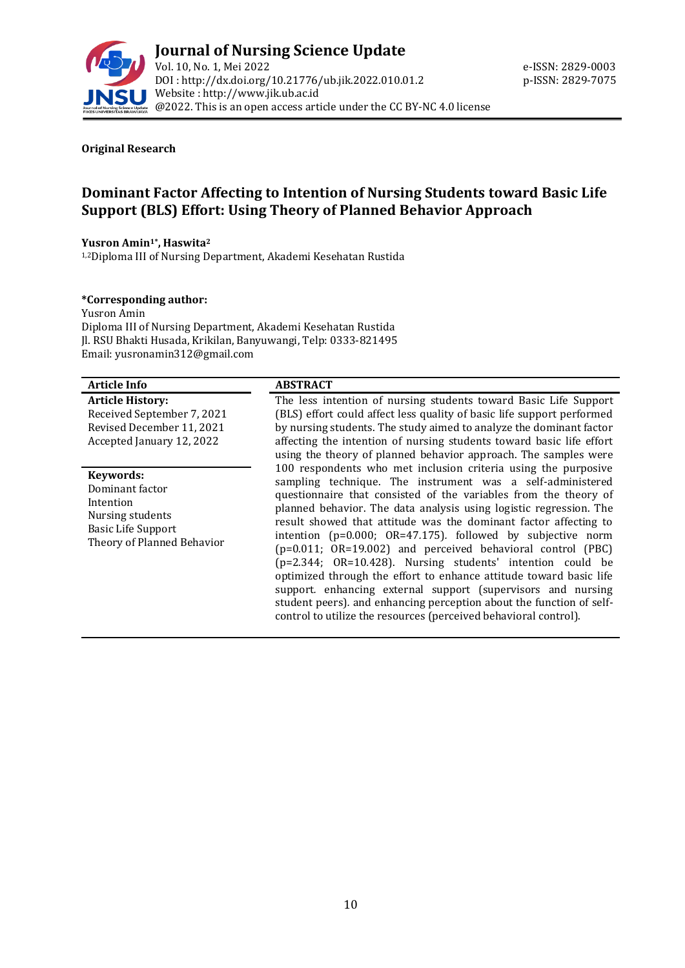

#### **Original Research**

# **Dominant Factor Affecting to Intention of Nursing Students toward Basic Life Support (BLS) Effort: Using Theory of Planned Behavior Approach**

#### **Yusron Amin1\* , Haswita<sup>2</sup>**

1,2Diploma III of Nursing Department, Akademi Kesehatan Rustida

#### **\*Corresponding author:**

Yusron Amin Diploma III of Nursing Department, Akademi Kesehatan Rustida Jl. RSU Bhakti Husada, Krikilan, Banyuwangi, Telp: 0333-821495 Email[: yusronamin312@gmail.com](mailto:yusronamin312@gmail.com)

#### **Article Info ABSTRACT**

**Article History:** Received September 7, 2021 Revised December 11, 2021 Accepted January 12, 2022

#### **Keywords:**

Dominant factor Intention Nursing students Basic Life Support Theory of Planned Behavior

The less intention of nursing students toward Basic Life Support (BLS) effort could affect less quality of basic life support performed by nursing students. The study aimed to analyze the dominant factor affecting the intention of nursing students toward basic life effort using the theory of planned behavior approach. The samples were 100 respondents who met inclusion criteria using the purposive sampling technique. The instrument was a self-administered questionnaire that consisted of the variables from the theory of planned behavior. The data analysis using logistic regression. The result showed that attitude was the dominant factor affecting to intention (p=0*.*000; OR=47*.*175)*.* followed by subjective norm (p=0*.*011; OR=19*.*002) and perceived behavioral control (PBC) (p=2*.*344; OR=10*.*428). Nursing students' intention could be optimized through the effort to enhance attitude toward basic life support*.* enhancing external support (supervisors and nursing student peers)*.* and enhancing perception about the function of selfcontrol to utilize the resources (perceived behavioral control).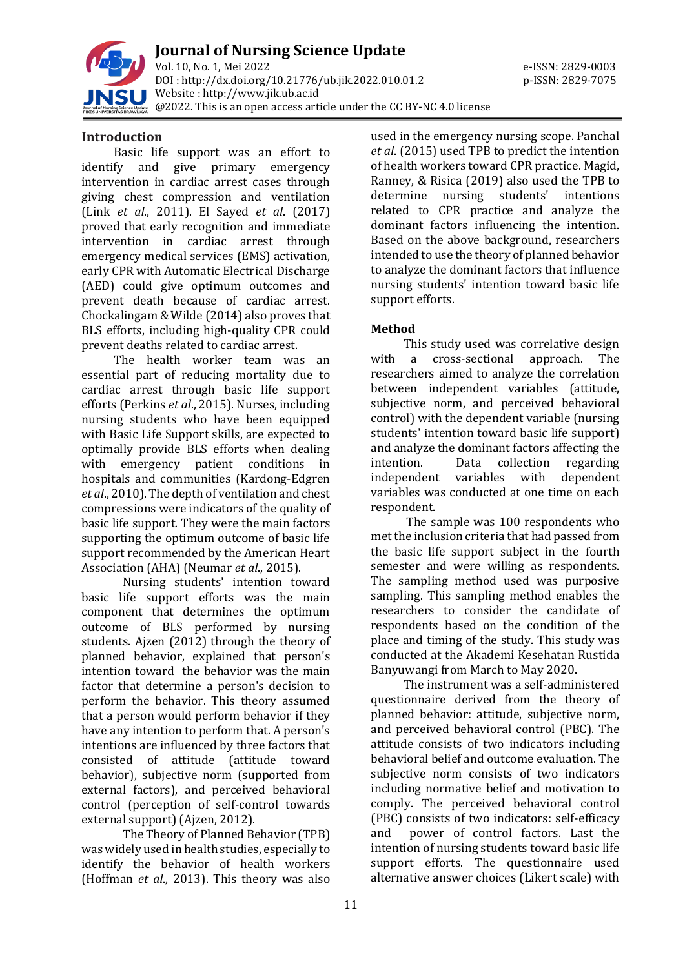

**Journal of Nursing Science Update** Vol. 10, No. 1, Mei 2022 e-ISSN: 2829-0003 DOI : [http://dx.doi.org/10.21776/ub.jik.2022.010.01.2](http://dx.doi.org/10.21776/ub.jik.2022.010.01) p-ISSN: 2829-7075 Website : http:/[/www.jik.ub.ac.id](http://www.jik.ub.ac.id/) @2022. This is an open access article under the CC BY-NC 4.0 license

#### **Introduction**

Basic life support was an effort to identify and give primary emergency intervention in cardiac arrest cases through giving chest compression and ventilation (Link *et al*., 2011). El Sayed *et al*. (2017) proved that early recognition and immediate intervention in cardiac arrest through emergency medical services (EMS) activation, early CPR with Automatic Electrical Discharge (AED) could give optimum outcomes and prevent death because of cardiac arrest. Chockalingam & Wilde (2014) also proves that BLS efforts, including high-quality CPR could prevent deaths related to cardiac arrest.

The health worker team was an essential part of reducing mortality due to cardiac arrest through basic life support efforts (Perkins *et al*., 2015). Nurses, including nursing students who have been equipped with Basic Life Support skills, are expected to optimally provide BLS efforts when dealing with emergency patient conditions in hospitals and communities (Kardong-Edgren *et al*., 2010). The depth of ventilation and chest compressions were indicators of the quality of basic life support. They were the main factors supporting the optimum outcome of basic life support recommended by the American Heart Association (AHA) (Neumar *et al*., 2015).

Nursing students' intention toward basic life support efforts was the main component that determines the optimum outcome of BLS performed by nursing students. Ajzen (2012) through the theory of planned behavior, explained that person's intention toward the behavior was the main factor that determine a person's decision to perform the behavior. This theory assumed that a person would perform behavior if they have any intention to perform that. A person's intentions are influenced by three factors that consisted of attitude (attitude toward behavior), subjective norm (supported from external factors), and perceived behavioral control (perception of self-control towards external support) (Ajzen, 2012).

The Theory of Planned Behavior (TPB) was widely used in health studies, especially to identify the behavior of health workers (Hoffman *et al*., 2013). This theory was also

used in the emergency nursing scope. Panchal *et al*. (2015) used TPB to predict the intention of health workers toward CPR practice. Magid, Ranney, & Risica (2019) also used the TPB to determine nursing students' intentions related to CPR practice and analyze the dominant factors influencing the intention. Based on the above background, researchers intended to use the theory of planned behavior to analyze the dominant factors that influence nursing students' intention toward basic life support efforts.

## **Method**

This study used was correlative design with a cross-sectional approach. The researchers aimed to analyze the correlation between independent variables (attitude, subjective norm, and perceived behavioral control) with the dependent variable (nursing students' intention toward basic life support) and analyze the dominant factors affecting the intention. Data collection regarding independent variables with dependent variables was conducted at one time on each respondent.

The sample was 100 respondents who met the inclusion criteria that had passed from the basic life support subject in the fourth semester and were willing as respondents. The sampling method used was purposive sampling. This sampling method enables the researchers to consider the candidate of respondents based on the condition of the place and timing of the study. This study was conducted at the Akademi Kesehatan Rustida Banyuwangi from March to May 2020.

The instrument was a self-administered questionnaire derived from the theory of planned behavior: attitude, subjective norm, and perceived behavioral control (PBC). The attitude consists of two indicators including behavioral belief and outcome evaluation. The subjective norm consists of two indicators including normative belief and motivation to comply. The perceived behavioral control (PBC) consists of two indicators: self-efficacy and power of control factors. Last the intention of nursing students toward basic life support efforts. The questionnaire used alternative answer choices (Likert scale) with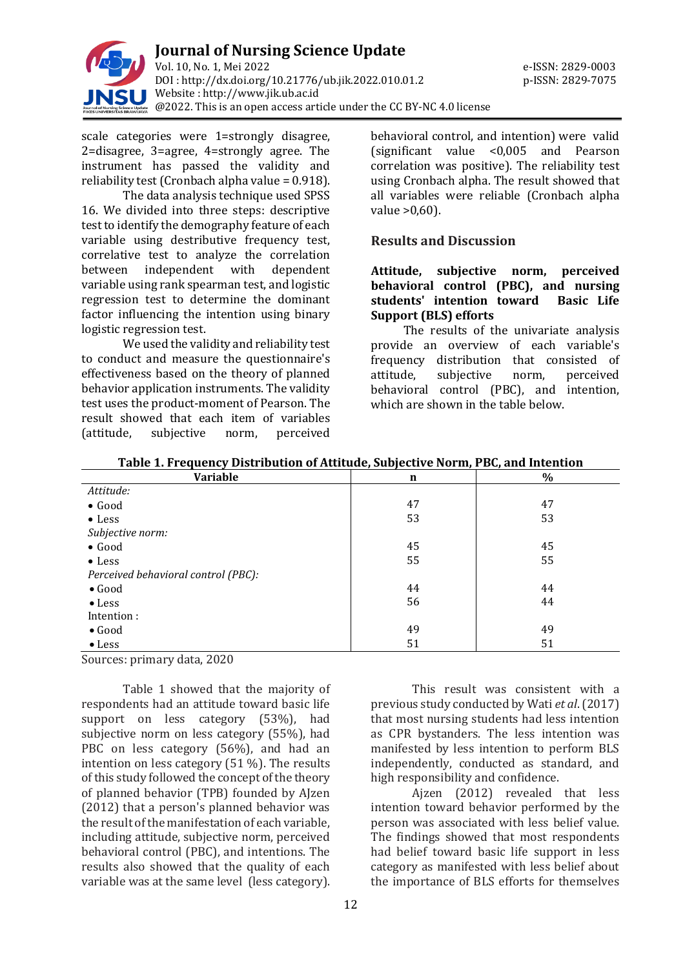

scale categories were 1=strongly disagree, 2=disagree, 3=agree, 4=strongly agree. The instrument has passed the validity and reliability test (Cronbach alpha value = 0.918).

The data analysis technique used SPSS 16. We divided into three steps: descriptive test to identify the demography feature of each variable using destributive frequency test, correlative test to analyze the correlation between independent with dependent variable using rank spearman test, and logistic regression test to determine the dominant factor influencing the intention using binary logistic regression test.

We used the validity and reliability test to conduct and measure the questionnaire's effectiveness based on the theory of planned behavior application instruments. The validity test uses the product-moment of Pearson. The result showed that each item of variables (attitude, subjective norm, perceived

behavioral control, and intention) were valid (significant value <0,005 and Pearson correlation was positive). The reliability test using Cronbach alpha. The result showed that all variables were reliable (Cronbach alpha value >0,60).

## **Results and Discussion**

## **Attitude, subjective norm, perceived behavioral control (PBC), and nursing students' intention toward Basic Life Support (BLS) efforts**

The results of the univariate analysis provide an overview of each variable's frequency distribution that consisted of attitude, subjective norm, perceived behavioral control (PBC), and intention, which are shown in the table below.

| <b>Variable</b>                     | n  | $\%$ |
|-------------------------------------|----|------|
| Attitude:                           |    |      |
| $\bullet$ Good                      | 47 | 47   |
| $\bullet$ Less                      | 53 | 53   |
| Subjective norm:                    |    |      |
| $\bullet$ Good                      | 45 | 45   |
| $\bullet$ Less                      | 55 | 55   |
| Perceived behavioral control (PBC): |    |      |
| $\bullet$ Good                      | 44 | 44   |
| $\bullet$ Less                      | 56 | 44   |
| Intention:                          |    |      |
| $\bullet$ Good                      | 49 | 49   |
| $\bullet$ Less                      | 51 | 51   |

**Table 1. Frequency Distribution of Attitude, Subjective Norm, PBC, and Intention**

Sources: primary data, 2020

Table 1 showed that the majority of respondents had an attitude toward basic life support on less category (53%), had subjective norm on less category (55%), had PBC on less category (56%), and had an intention on less category (51 %). The results of this study followed the concept of the theory of planned behavior (TPB) founded by AJzen (2012) that a person's planned behavior was the result of the manifestation of each variable, including attitude, subjective norm, perceived behavioral control (PBC), and intentions. The results also showed that the quality of each variable was at the same level (less category).

This result was consistent with a previous study conducted by Wati *et al*. (2017) that most nursing students had less intention as CPR bystanders. The less intention was manifested by less intention to perform BLS independently, conducted as standard, and high responsibility and confidence.

Ajzen (2012) revealed that less intention toward behavior performed by the person was associated with less belief value. The findings showed that most respondents had belief toward basic life support in less category as manifested with less belief about the importance of BLS efforts for themselves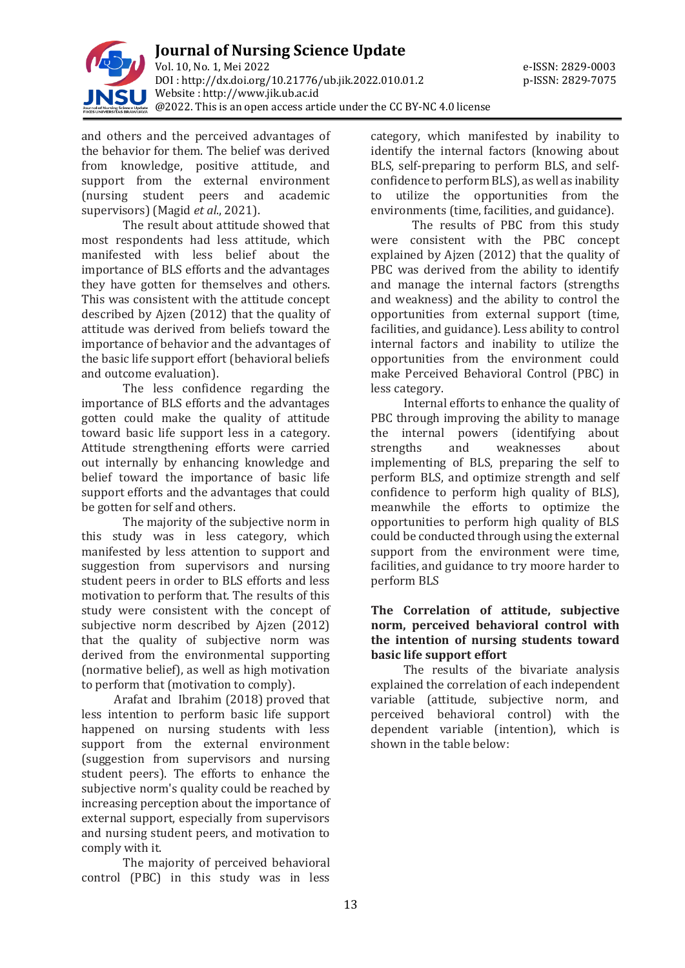

and others and the perceived advantages of the behavior for them. The belief was derived from knowledge, positive attitude, and support from the external environment (nursing student peers and academic supervisors) (Magid *et al*., 2021).

The result about attitude showed that most respondents had less attitude, which manifested with less belief about the importance of BLS efforts and the advantages they have gotten for themselves and others. This was consistent with the attitude concept described by Ajzen (2012) that the quality of attitude was derived from beliefs toward the importance of behavior and the advantages of the basic life support effort (behavioral beliefs and outcome evaluation).

The less confidence regarding the importance of BLS efforts and the advantages gotten could make the quality of attitude toward basic life support less in a category. Attitude strengthening efforts were carried out internally by enhancing knowledge and belief toward the importance of basic life support efforts and the advantages that could be gotten for self and others.

The majority of the subjective norm in this study was in less category, which manifested by less attention to support and suggestion from supervisors and nursing student peers in order to BLS efforts and less motivation to perform that. The results of this study were consistent with the concept of subjective norm described by Aizen (2012) that the quality of subjective norm was derived from the environmental supporting (normative belief), as well as high motivation to perform that (motivation to comply).

Arafat and Ibrahim (2018) proved that less intention to perform basic life support happened on nursing students with less support from the external environment (suggestion from supervisors and nursing student peers). The efforts to enhance the subjective norm's quality could be reached by increasing perception about the importance of external support, especially from supervisors and nursing student peers, and motivation to comply with it.

The majority of perceived behavioral control (PBC) in this study was in less

category, which manifested by inability to identify the internal factors (knowing about BLS, self-preparing to perform BLS, and selfconfidence to perform BLS), as well as inability to utilize the opportunities from the environments (time, facilities, and guidance).

The results of PBC from this study were consistent with the PBC concept explained by Ajzen (2012) that the quality of PBC was derived from the ability to identify and manage the internal factors (strengths and weakness) and the ability to control the opportunities from external support (time, facilities, and guidance). Less ability to control internal factors and inability to utilize the opportunities from the environment could make Perceived Behavioral Control (PBC) in less category.

Internal efforts to enhance the quality of PBC through improving the ability to manage the internal powers (identifying about strengths and weaknesses about implementing of BLS, preparing the self to perform BLS, and optimize strength and self confidence to perform high quality of BLS), meanwhile the efforts to optimize the opportunities to perform high quality of BLS could be conducted through using the external support from the environment were time, facilities, and guidance to try moore harder to perform BLS

## **The Correlation of attitude, subjective norm, perceived behavioral control with the intention of nursing students toward basic life support effort**

The results of the bivariate analysis explained the correlation of each independent variable (attitude, subjective norm, and perceived behavioral control) with the dependent variable (intention), which is shown in the table below: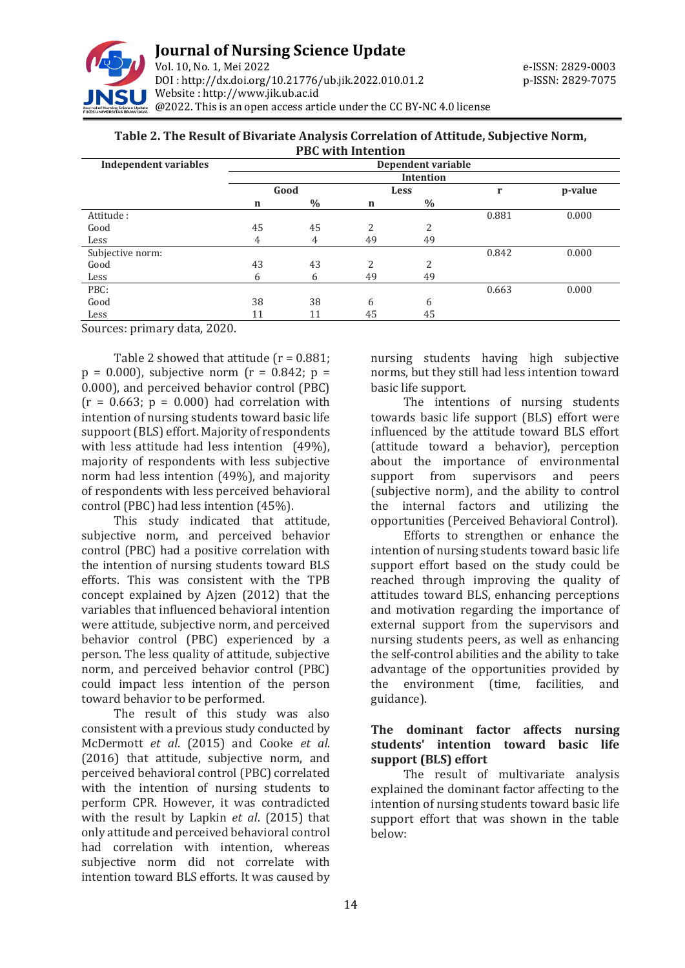

#### **Table 2. The Result of Bivariate Analysis Correlation of Attitude, Subjective Norm, PBC with Intention**

| <b>Independent variables</b> | Dependent variable |      |      |      |       |         |
|------------------------------|--------------------|------|------|------|-------|---------|
|                              | Intention          |      |      |      |       |         |
|                              | Good               |      | Less |      | r     | p-value |
|                              | n                  | $\%$ | n    | $\%$ |       |         |
| Attitude:                    |                    |      |      |      | 0.881 | 0.000   |
| Good                         | 45                 | 45   | 2    | 2    |       |         |
| Less                         | 4                  | 4    | 49   | 49   |       |         |
| Subjective norm:             |                    |      |      |      | 0.842 | 0.000   |
| Good                         | 43                 | 43   | 2    | 2    |       |         |
| Less                         | 6                  | 6    | 49   | 49   |       |         |
| PBC:                         |                    |      |      |      | 0.663 | 0.000   |
| Good                         | 38                 | 38   | 6    | 6    |       |         |
| Less                         | 11                 | 11   | 45   | 45   |       |         |

Sources: primary data, 2020.

Table 2 showed that attitude  $(r = 0.881)$ ;  $p = 0.000$ , subjective norm ( $r = 0.842$ ;  $p =$ 0.000), and perceived behavior control (PBC)  $(r = 0.663; p = 0.000)$  had correlation with intention of nursing students toward basic life suppoort (BLS) effort. Majority of respondents with less attitude had less intention (49%), majority of respondents with less subjective norm had less intention (49%), and majority of respondents with less perceived behavioral control (PBC) had less intention (45%).

This study indicated that attitude, subjective norm, and perceived behavior control (PBC) had a positive correlation with the intention of nursing students toward BLS efforts. This was consistent with the TPB concept explained by Ajzen (2012) that the variables that influenced behavioral intention were attitude, subjective norm, and perceived behavior control (PBC) experienced by a person. The less quality of attitude, subjective norm, and perceived behavior control (PBC) could impact less intention of the person toward behavior to be performed.

The result of this study was also consistent with a previous study conducted by McDermott *et al*. (2015) and Cooke *et al*. (2016) that attitude, subjective norm, and perceived behavioral control (PBC) correlated with the intention of nursing students to perform CPR. However, it was contradicted with the result by Lapkin *et al*. (2015) that only attitude and perceived behavioral control had correlation with intention, whereas subjective norm did not correlate with intention toward BLS efforts. It was caused by

nursing students having high subjective norms, but they still had less intention toward basic life support.

The intentions of nursing students towards basic life support (BLS) effort were influenced by the attitude toward BLS effort (attitude toward a behavior), perception about the importance of environmental support from supervisors and peers (subjective norm), and the ability to control the internal factors and utilizing the opportunities (Perceived Behavioral Control).

Efforts to strengthen or enhance the intention of nursing students toward basic life support effort based on the study could be reached through improving the quality of attitudes toward BLS, enhancing perceptions and motivation regarding the importance of external support from the supervisors and nursing students peers, as well as enhancing the self-control abilities and the ability to take advantage of the opportunities provided by the environment (time, facilities, and guidance).

### **The dominant factor affects nursing students' intention toward basic life support (BLS) effort**

The result of multivariate analysis explained the dominant factor affecting to the intention of nursing students toward basic life support effort that was shown in the table below: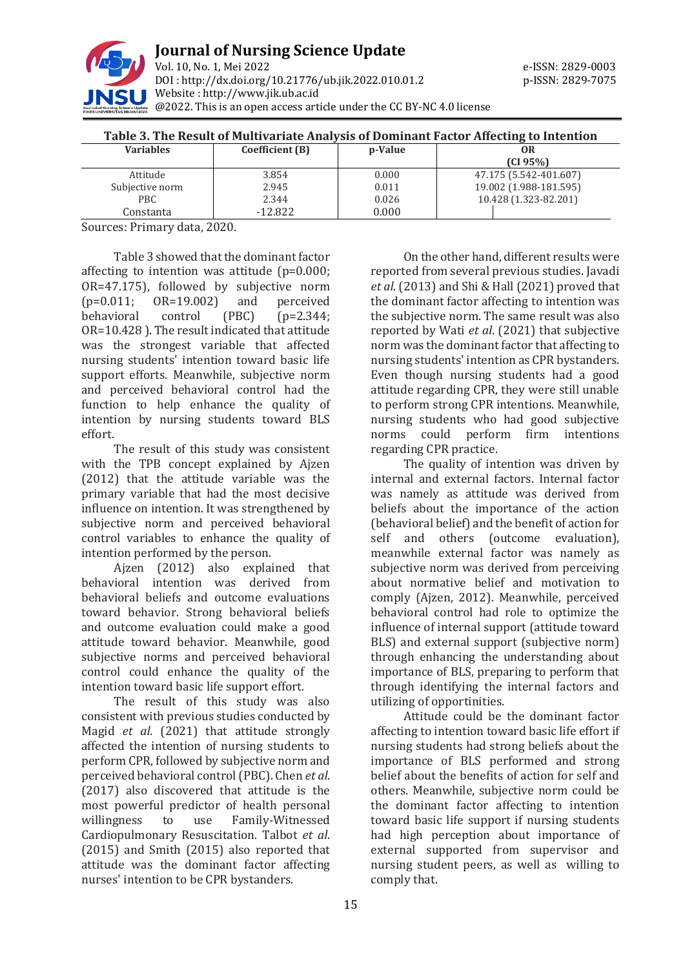

|  | Table 3. The Result of Multivariate Analysis of Dominant Factor Affecting to Intention |  |  |
|--|----------------------------------------------------------------------------------------|--|--|
|--|----------------------------------------------------------------------------------------|--|--|

| <b>Variables</b> | Coefficient (B) | p-Value | OR                     |
|------------------|-----------------|---------|------------------------|
|                  |                 |         | (CI 95%)               |
| Attitude         | 3.854           | 0.000   | 47.175 (5.542-401.607) |
| Subjective norm  | 2.945           | 0.011   | 19.002 (1.988-181.595) |
| PBC.             | 2.344           | 0.026   | 10.428 (1.323-82.201)  |
| Constanta        | $-12.822$       | 0.000   |                        |

Sources: Primary data, 2020.

Table 3 showed that the dominant factor affecting to intention was attitude (p=0.000; OR=47.175), followed by subjective norm (p=0.011; OR=19.002) and perceived behavioral control (PBC) (p=2.344; OR=10.428 ). The result indicated that attitude was the strongest variable that affected nursing students' intention toward basic life support efforts. Meanwhile, subjective norm and perceived behavioral control had the function to help enhance the quality of intention by nursing students toward BLS effort.

The result of this study was consistent with the TPB concept explained by Ajzen (2012) that the attitude variable was the primary variable that had the most decisive influence on intention. It was strengthened by subjective norm and perceived behavioral control variables to enhance the quality of intention performed by the person.

Ajzen (2012) also explained that behavioral intention was derived from behavioral beliefs and outcome evaluations toward behavior. Strong behavioral beliefs and outcome evaluation could make a good attitude toward behavior. Meanwhile, good subjective norms and perceived behavioral control could enhance the quality of the intention toward basic life support effort.

The result of this study was also consistent with previous studies conducted by Magid *et al*. (2021) that attitude strongly affected the intention of nursing students to perform CPR, followed by subjective norm and perceived behavioral control (PBC). Chen *et al*. (2017) also discovered that attitude is the most powerful predictor of health personal willingness to use Family-Witnessed Cardiopulmonary Resuscitation. Talbot *et al*. (2015) and Smith (2015) also reported that attitude was the dominant factor affecting nurses' intention to be CPR bystanders.

On the other hand, different results were reported from several previous studies. Javadi *et al*. (2013) and Shi & Hall (2021) proved that the dominant factor affecting to intention was the subjective norm. The same result was also reported by Wati *et al*. (2021) that subjective norm was the dominant factor that affecting to nursing students' intention as CPR bystanders. Even though nursing students had a good attitude regarding CPR, they were still unable to perform strong CPR intentions. Meanwhile, nursing students who had good subjective norms could perform firm intentions regarding CPR practice.

The quality of intention was driven by internal and external factors. Internal factor was namely as attitude was derived from beliefs about the importance of the action (behavioral belief) and the benefit of action for self and others (outcome evaluation), meanwhile external factor was namely as subjective norm was derived from perceiving about normative belief and motivation to comply (Ajzen, 2012). Meanwhile, perceived behavioral control had role to optimize the influence of internal support (attitude toward BLS) and external support (subjective norm) through enhancing the understanding about importance of BLS, preparing to perform that through identifying the internal factors and utilizing of opportinities.

Attitude could be the dominant factor affecting to intention toward basic life effort if nursing students had strong beliefs about the importance of BLS performed and strong belief about the benefits of action for self and others. Meanwhile, subjective norm could be the dominant factor affecting to intention toward basic life support if nursing students had high perception about importance of external supported from supervisor and nursing student peers, as well as willing to comply that.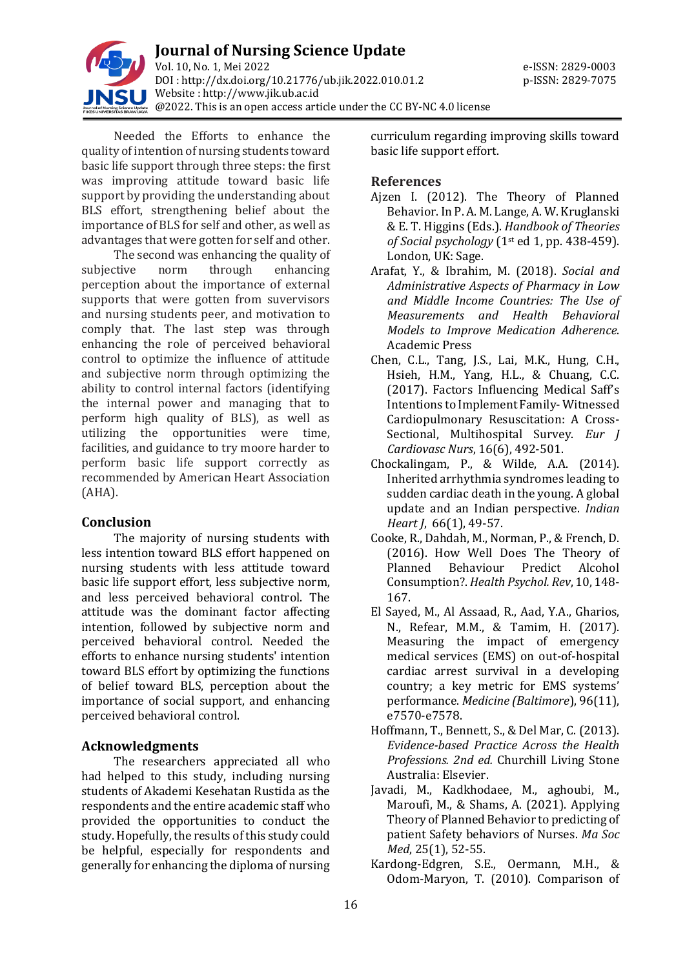

Needed the Efforts to enhance the quality of intention of nursing students toward basic life support through three steps: the first was improving attitude toward basic life support by providing the understanding about BLS effort, strengthening belief about the importance of BLS for self and other, as well as advantages that were gotten for self and other.

The second was enhancing the quality of subjective norm through enhancing perception about the importance of external supports that were gotten from suvervisors and nursing students peer, and motivation to comply that. The last step was through enhancing the role of perceived behavioral control to optimize the influence of attitude and subjective norm through optimizing the ability to control internal factors (identifying the internal power and managing that to perform high quality of BLS), as well as utilizing the opportunities were time, facilities, and guidance to try moore harder to perform basic life support correctly as recommended by American Heart Association (AHA).

## **Conclusion**

The majority of nursing students with less intention toward BLS effort happened on nursing students with less attitude toward basic life support effort, less subjective norm, and less perceived behavioral control. The attitude was the dominant factor affecting intention, followed by subjective norm and perceived behavioral control. Needed the efforts to enhance nursing students' intention toward BLS effort by optimizing the functions of belief toward BLS, perception about the importance of social support, and enhancing perceived behavioral control.

## **Acknowledgments**

The researchers appreciated all who had helped to this study, including nursing students of Akademi Kesehatan Rustida as the respondents and the entire academic staff who provided the opportunities to conduct the study. Hopefully, the results of this study could be helpful, especially for respondents and generally for enhancing the diploma of nursing

curriculum regarding improving skills toward basic life support effort.

#### **References**

- Ajzen I. (2012). The Theory of Planned Behavior. In P. A. M. Lange, A. W. Kruglanski & E. T. Higgins (Eds.). *Handbook of Theories of Social psychology* (1st ed 1, pp. 438-459). London, UK: Sage.
- Arafat, Y., & Ibrahim, M. (2018). *Social and Administrative Aspects of Pharmacy in Low and Middle Income Countries: The Use of Measurements and Health Behavioral Models to Improve Medication Adherence*. Academic Press
- Chen, C.L., Tang, J.S., Lai, M.K., Hung, C.H., Hsieh, H.M., Yang, H.L., & Chuang, C.C. (2017). Factors Influencing Medical Saff's Intentions to Implement Family- Witnessed Cardiopulmonary Resuscitation: A Cross-Sectional, Multihospital Survey. *Eur J Cardiovasc Nurs*, 16(6), 492-501.
- Chockalingam, P., & Wilde, A.A. (2014). Inherited arrhythmia syndromes leading to sudden cardiac death in the young. A global update and an Indian perspective. *Indian Heart J*, 66(1), 49-57.
- Cooke, R., Dahdah, M., Norman, P., & French, D. (2016). How Well Does The Theory of Planned Behaviour Predict Alcohol Consumption?. *Health Psychol. Rev*, 10, 148- 167.
- El Sayed, M., Al Assaad, R., Aad, Y.A., Gharios, N., Refear, M.M., & Tamim, H. (2017). Measuring the impact of emergency medical services (EMS) on out-of-hospital cardiac arrest survival in a developing country; a key metric for EMS systems' performance. *Medicine (Baltimore*), 96(11), e7570-e7578.
- Hoffmann, T., Bennett, S., & Del Mar, C. (2013). *Evidence-based Practice Across the Health Professions. 2nd ed.* Churchill Living Stone Australia: Elsevier.
- Javadi, M., Kadkhodaee, M., aghoubi, M., Maroufi, M., & Shams, A. (2021). Applying Theory of Planned Behavior to predicting of patient Safety behaviors of Nurses. *Ma Soc Med*, 25(1), 52-55.
- Kardong-Edgren, S.E., Oermann, M.H., & Odom-Maryon, T. (2010). Comparison of